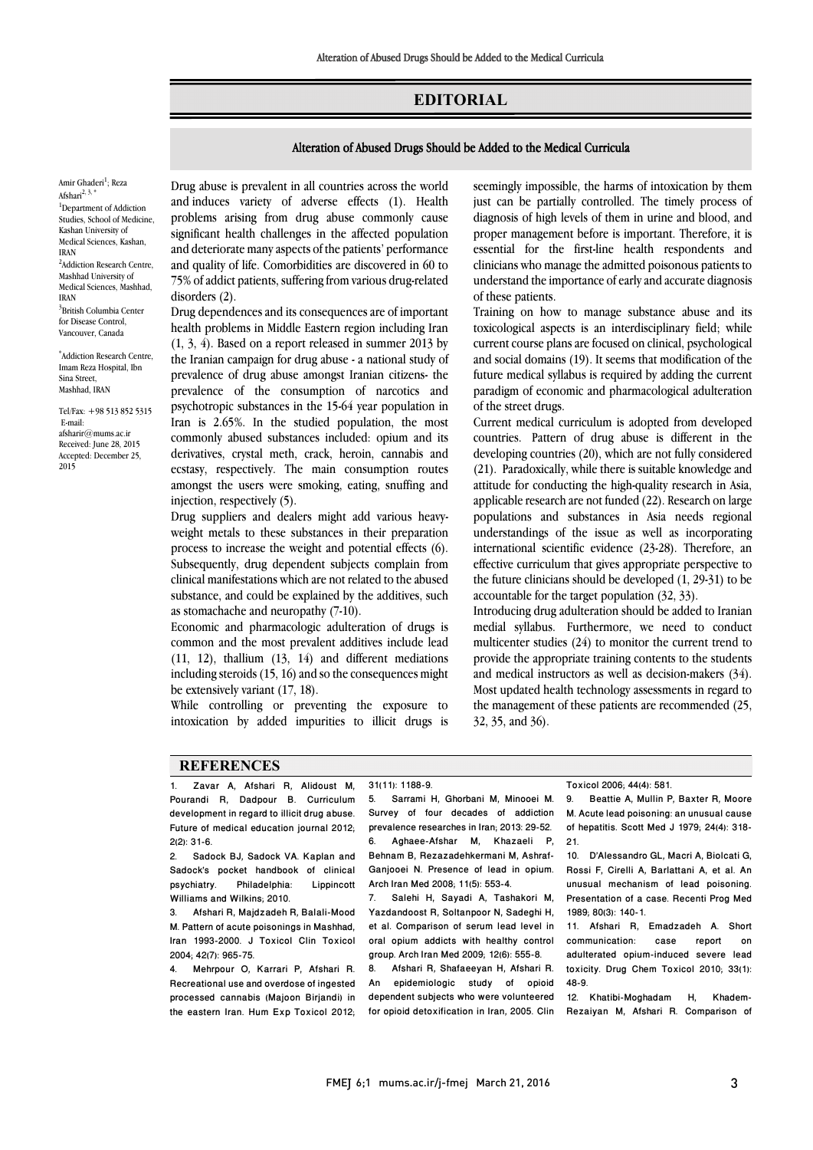## **EDITORIAL**

## Alteration of Abused Drugs Should be Added to the Medical Curricula

Amir Ghaderi<sup>1</sup>; Reza Afshari $^{2, 3, 4}$ <sup>1</sup>Department of Addiction Studies, School of Medicine, Kashan University of Medical Sciences, Kashan, IRAN <sup>2</sup>Addiction Research Centre, Mashhad University of Medical Sciences, Mashhad, IRAN 3 British Columbia Center for Disease Control, Vancouver, Canada

\* Addiction Research Centre, Imam Reza Hospital, Ibn Sina Street, Mashhad, IRAN

Tel/Fax: +98 513 852 5315 E-mail: afsharir $@$ mums ac in Received: June 28, 2015 Accepted: December 25, 2015

 Drug abuse is prevalent in all countries across the world and induces variety of adverse effects (1). Health significant health challenges in the affected population and deteriorate many aspects of the patients' performance and quality of life. Comorbidities are discovered in 60 to 75% of addict patients, suffering from various drug-related problems arising from drug abuse commonly cause disorders (2).

Ī 

 Drug dependences and its consequences are of important health problems in Middle Eastern region including Iran (1, 3, 4). Based on a report released in summer 2013 by the Iranian campaign for drug abuse - a national study of prevalence of the consumption of narcotics and psychotropic substances in the 15-64 year population in Iran is 2.65%. In the studied population, the most commonly abused substances included: opium and its ecstasy, respectively. The main consumption routes amongst the users were smoking, eating, snuffing and prevalence of drug abuse amongst Iranian citizens- the derivatives, crystal meth, crack, heroin, cannabis and injection, respectively (5).

 weight metals to these substances in their preparation process to increase the weight and potential effects  $(6)$ . Subsequently, drug dependent subjects complain from clinical manifestations which are not related to the abused substance, and could be explained by the additives, such<br>as stomachache and neuronathy  $(7.10)$ Drug suppliers and dealers might add various heavyas stomachache and neuropathy (7-10).

 Economic and pharmacologic adulteration of drugs is common and the most prevalent additives include lead (11, 12), thallium (13, 14) and different mediations including steroids  $(15, 16)$  and so the consequences might be extensively variant  $(17, 18)$ be extensively variant (17, 18).

 While controlling or preventing the exposure to intoxication by added impurities to illicit drugs is

 seemingly impossible, the harms of intoxication by them just can be partially controlled. The timely process of proper management before is important. Therefore, it is essential for the first-line health respondents and clinicians who manage the admitted poisonous patients to understand the importance of early and accurate diagnosis diagnosis of high levels of them in urine and blood, and of these patients.

Ī 

 Training on how to manage substance abuse and its toxicological aspects is an interdisciplinary field; while current course plans are focused on clinical, psychological and social domains (19). It seems that modification of the paradigm of economic and pharmacological adulteration future medical syllabus is required by adding the current of the street drugs.

 Current medical curriculum is adopted from developed countries. Pattern of drug abuse is different in the (21). Paradoxically, while there is suitable knowledge and attitude for conducting the high-quality research in Asia, applicable research are not funded (22). Research on large understandings of the issue as well as incorporating international scientific evidence (23-28). Therefore, an effective curriculum that gives appropriate perspective to the future clinicians should be developed (1, 29-31) to be developing countries (20), which are not fully considered populations and substances in Asia needs regional accountable for the target population (32, 33).

accountable for the target population (32, 33).<br>Introducing drug adulteration should be added to Iranian medial syllabus. Furthermore, we need to conduct multicenter studies (24) to monitor the current trend to provide the appropriate training contents to the students and include instructors as well as decision-makers (54).<br>Most updated health technology assessments in regard to the management of these patients are recommended (25, and medical instructors as well as decision-makers (34). 32, 35, and 36).

## **REFERENCES**

1. Zavar A, Afshari R, Alidoust M, Pourandi R, Dadpour B. Curriculum development in regard to illicit drug abuse. Future of medical education journal 2012;  $2(2): 31-6.$ 

Sadock BJ, Sadock VA, Kaplan and Sadock's pocket handbook of clinical<br>psychiatry. Philadelphia: Lippincott psychiatry. Philadelphia: Williams and Wilkins; 2010.

3. Afshari R, Majdzadeh R, Balali-Mood M. Pattern of acute poisonings in Mashhad, Iran 1993-2000. J Toxicol Clin Toxicol 2004; 42(7): 965-75.

4. Mehrpour O, Karrari P, Afshari R. Recreational use and overdose of ingested processed cannabis (Majoon Birjandi) in the eastern Iran. Hum Exp Toxicol 2012; 31(11): 1188-9.

٦

5. Sarrami H, Ghorbani M, Minooei M. Survey of four decades of addiction prevalence researches in Iran; 2013: 29-52. 6. Aghaee-Afshar M, Khazaeli P, Behnam B, Rezazadehkermani M, Ashraf-Ganjooei N. Presence of lead in opium. Arch Iran Med 2008; 11(5): 553-4.

7. Salehi H, Sayadi A, Tashakori M, Yazdandoost R, Soltanpoor N, Sadeghi H, et al. Comparison of serum lead level in oral opium addicts with healthy control group. Arch Iran Med 2009; 12(6): 555-8.

8. Afshari R, Shafaeeyan H, Afshari R. An epidemiologic study of opioid dependent subjects who were volunteered for opioid detoxification in Iran, 2005. Clin Toxicol 2006; 44(4): 581.

 9. Beattie A, Mullin P, Baxter R, Moore of hepatitis. Scott Med J 1979; 24(4): 318-M. Acute lead poisoning: an unusual cause 21.

٦

 10. D'Alessandro GL, Macri A, Biolcati G, unusual mechanism of lead poisoning. Presentation of a case. Recenti Prog Med Rossi F, Cirelli A, Barlattani A, et al. An 1989; 80(3): 140-1.

 11. Afshari R, Emadzadeh A. Short Case aduiterated opium-induced severe lead<br>toxicity. Drug Chem Toxicol 2010; 33(1): communication: case report on adulterated opium-induced severe lead 48-9.

 12. Khatibi-Moghadam H, Khadem-Rezaiyan M, Afshari R. Comparison of